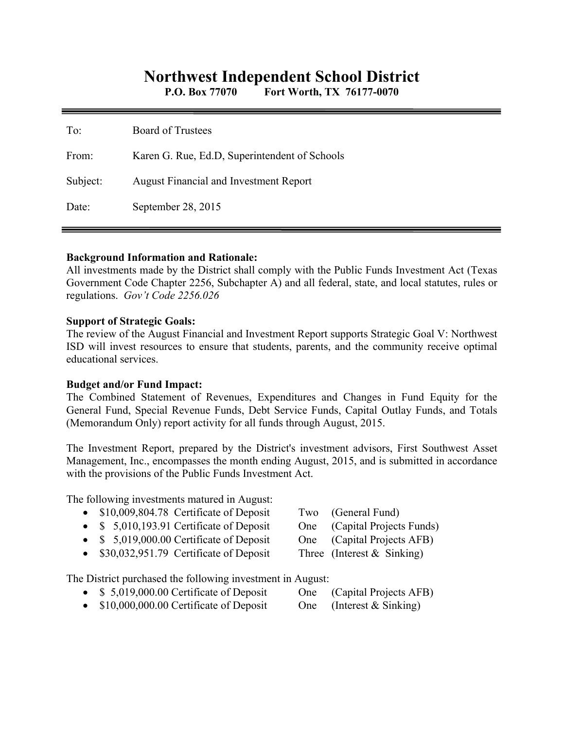# **Northwest Independent School District**

**P.O. Box 77070 Fort Worth, TX 76177-0070** 

| To:      | <b>Board of Trustees</b>                      |
|----------|-----------------------------------------------|
| From:    | Karen G. Rue, Ed.D, Superintendent of Schools |
| Subject: | August Financial and Investment Report        |
| Date:    | September 28, 2015                            |

#### **Background Information and Rationale:**

All investments made by the District shall comply with the Public Funds Investment Act (Texas Government Code Chapter 2256, Subchapter A) and all federal, state, and local statutes, rules or regulations. *Gov't Code 2256.026* 

#### **Support of Strategic Goals:**

The review of the August Financial and Investment Report supports Strategic Goal V: Northwest ISD will invest resources to ensure that students, parents, and the community receive optimal educational services.

#### **Budget and/or Fund Impact:**

The Combined Statement of Revenues, Expenditures and Changes in Fund Equity for the General Fund, Special Revenue Funds, Debt Service Funds, Capital Outlay Funds, and Totals (Memorandum Only) report activity for all funds through August, 2015.

The Investment Report, prepared by the District's investment advisors, First Southwest Asset Management, Inc., encompasses the month ending August, 2015, and is submitted in accordance with the provisions of the Public Funds Investment Act.

The following investments matured in August:

- \$10,009,804.78 Certificate of Deposit Two (General Fund)
- \$ 5,010,193.91 Certificate of Deposit One (Capital Projects Funds)
- \$ 5,019,000.00 Certificate of Deposit One (Capital Projects AFB)
- \$30,032,951.79 Certificate of Deposit Three (Interest & Sinking)
- The District purchased the following investment in August:
	- \$ 5,019,000.00 Certificate of Deposit One (Capital Projects AFB)
	- $\bullet$  \$10,000,000.00 Certificate of Deposit One (Interest & Sinking)
- 
- 
- 
- 
- 
-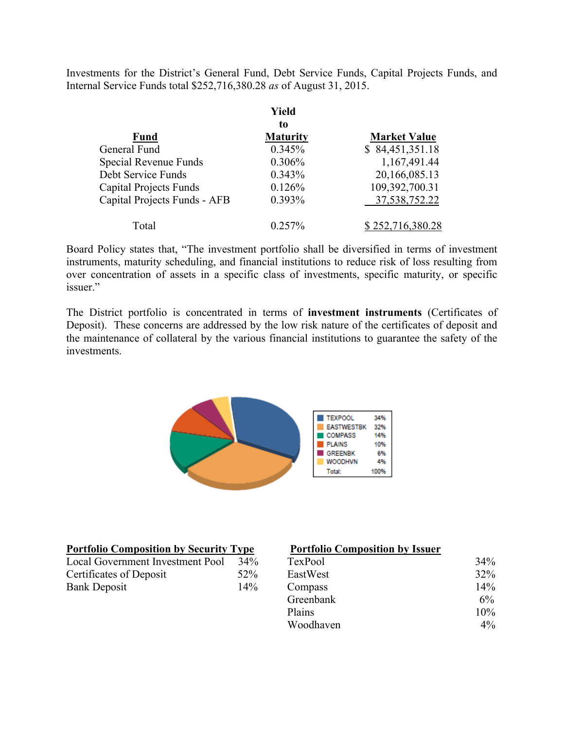Investments for the District's General Fund, Debt Service Funds, Capital Projects Funds, and Internal Service Funds total \$252,716,380.28 *as* of August 31, 2015.

|                               | Yield           |                     |
|-------------------------------|-----------------|---------------------|
|                               | to              |                     |
| <b>Fund</b>                   | <b>Maturity</b> | <b>Market Value</b> |
| General Fund                  | 0.345%          | \$84,451,351.18     |
| Special Revenue Funds         | 0.306%          | 1,167,491.44        |
| Debt Service Funds            | 0.343%          | 20,166,085.13       |
| <b>Capital Projects Funds</b> | 0.126%          | 109,392,700.31      |
| Capital Projects Funds - AFB  | 0.393%          | 37, 538, 752. 22    |
| Total                         | $0.257\%$       | \$252,716,380.28    |

Board Policy states that, "The investment portfolio shall be diversified in terms of investment instruments, maturity scheduling, and financial institutions to reduce risk of loss resulting from over concentration of assets in a specific class of investments, specific maturity, or specific issuer."

The District portfolio is concentrated in terms of **investment instruments** (Certificates of Deposit). These concerns are addressed by the low risk nature of the certificates of deposit and the maintenance of collateral by the various financial institutions to guarantee the safety of the investments.



| <b>Portfolio Composition by Security Type</b> |        | <b>Portfolio Composition by Issuer</b> |        |
|-----------------------------------------------|--------|----------------------------------------|--------|
| Local Government Investment Pool              | $34\%$ | TexPool                                | $34\%$ |
| Certificates of Deposit                       | 52%    | EastWest                               | 32%    |
| <b>Bank Deposit</b>                           | 14%    | Compass                                | 14%    |
|                                               |        | Greenbank                              | $6\%$  |
|                                               |        | Plains                                 | $10\%$ |

Woodhaven  $4\%$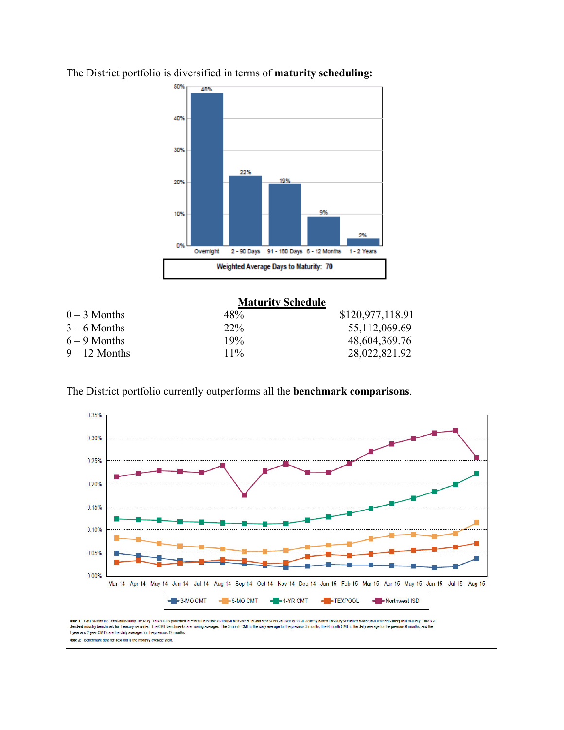

The District portfolio is diversified in terms of **maturity scheduling:**

|                 | <b>Maturity Schedule</b> |                  |
|-----------------|--------------------------|------------------|
| $0 - 3$ Months  | 48%                      | \$120,977,118.91 |
| $3 - 6$ Months  | $22\%$                   | 55,112,069.69    |
| $6 - 9$ Months  | 19%                      | 48,604,369.76    |
| $9 - 12$ Months | $11\%$                   | 28,022,821.92    |

The District portfolio currently outperforms all the **benchmark comparisons**.



Note 1: CMT stands for Constant Maturity Treasury. This data is published in Federal Reserve Statistical Release H.15 and represents an average of all actively traded Treasury securities having that time remaining until ma ining until maturity. This is a 1-year and 2-year CMT's are the daily averages for the previous 12-months Note 2: Benchmark data for TexPool is the monthly average yield.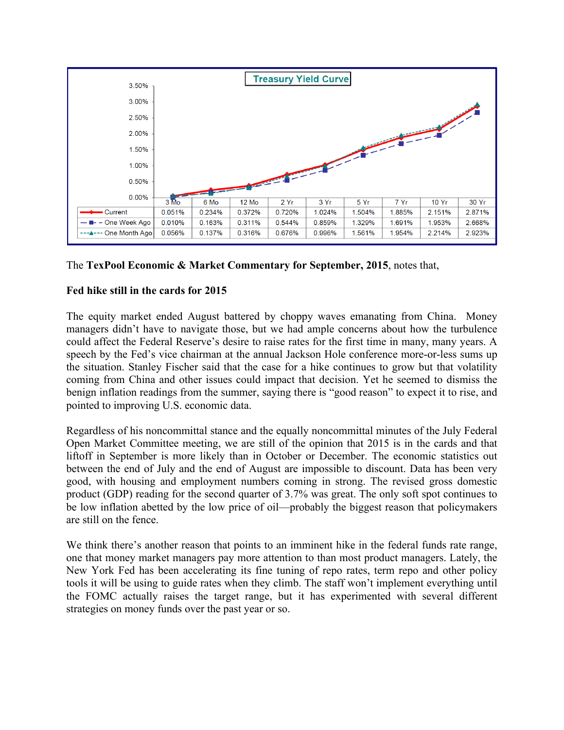

The **TexPool Economic & Market Commentary for September, 2015**, notes that,

## **Fed hike still in the cards for 2015**

The equity market ended August battered by choppy waves emanating from China. Money managers didn't have to navigate those, but we had ample concerns about how the turbulence could affect the Federal Reserve's desire to raise rates for the first time in many, many years. A speech by the Fed's vice chairman at the annual Jackson Hole conference more-or-less sums up the situation. Stanley Fischer said that the case for a hike continues to grow but that volatility coming from China and other issues could impact that decision. Yet he seemed to dismiss the benign inflation readings from the summer, saying there is "good reason" to expect it to rise, and pointed to improving U.S. economic data.

Regardless of his noncommittal stance and the equally noncommittal minutes of the July Federal Open Market Committee meeting, we are still of the opinion that 2015 is in the cards and that liftoff in September is more likely than in October or December. The economic statistics out between the end of July and the end of August are impossible to discount. Data has been very good, with housing and employment numbers coming in strong. The revised gross domestic product (GDP) reading for the second quarter of 3.7% was great. The only soft spot continues to be low inflation abetted by the low price of oil—probably the biggest reason that policymakers are still on the fence.

We think there's another reason that points to an imminent hike in the federal funds rate range, one that money market managers pay more attention to than most product managers. Lately, the New York Fed has been accelerating its fine tuning of repo rates, term repo and other policy tools it will be using to guide rates when they climb. The staff won't implement everything until the FOMC actually raises the target range, but it has experimented with several different strategies on money funds over the past year or so.